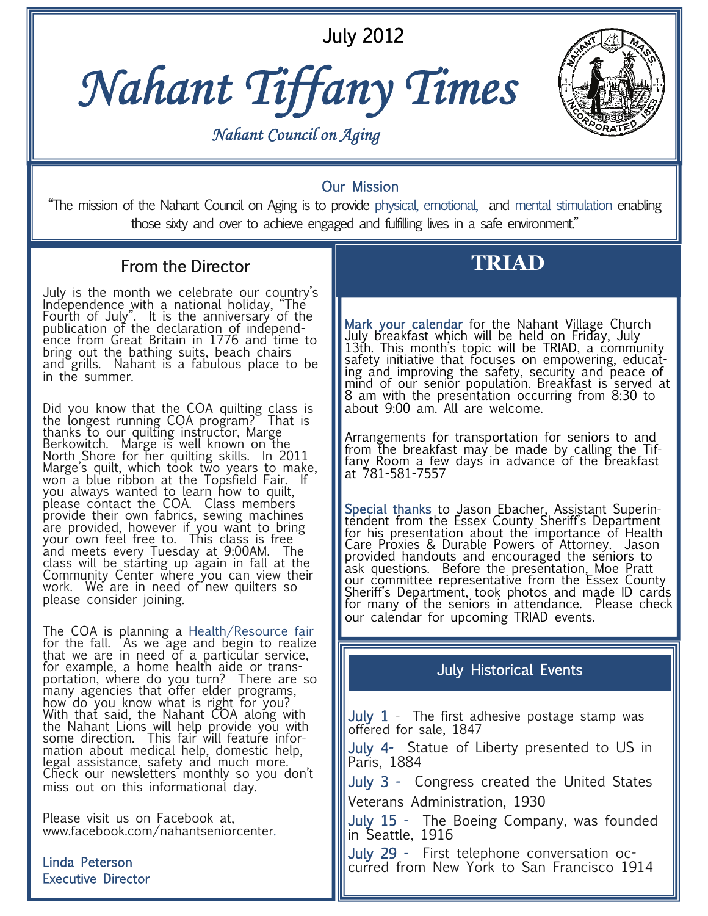July 2012





Our Mission "The mission of the Nahant Council on Aging is to provide physical, emotional, and mental stimulation enabling those sixty and over to achieve engaged and fulfilling lives in a safe environment."

## From the Director

July is the month we celebrate our country's Independence with a national holiday, "The Fourth of July". It is the anniversary of the publication of the declaration of independ-<br>ence from Great Britain in 1776 and time to bring out the bathing suits, beach chairs and grills. Nahant is a fabulous place to be in the summer.

Did you know that the COA quilting class is the longest running COA program? That is thanks to our quilting instructor, Marge Berkowitch. Marge is well known on the North Shore for her quilting skills. In 2011 Marge's quilt, which took two years to make, won a blue ribbon at the Topsfield Fair. If you always wanted to learn how to quilt, please contact the COA. Class members provide their own fabrics, sewing machines are provided, however if you want to bring your own feel free to. This class is free and meets every Tuesday at 9:00AM. The class will be starting up again in fall at the Community Center where you can view their work. We are in need of new quilters so please consider joining.

The COA is planning a Health/Resource fair for the fall. As we age and begin to realize that we are in need of a particular service, for example, a home health aide or transportation, where do you turn? There are so many agencies that offer elder programs, how do you know what is right for you? With that said, the Nahant COA along with the Nahant Lions will help provide you with some direction. This fair will feature information about medical help, domestic help, legal assistance, safety and much more. Check our newsletters monthly so you don't miss out on this informational day.

Please visit us on Facebook at, www.facebook.com/nahantseniorcenter.

Linda Peterson Executive Director

# **TRIAD**

Mark your calendar for the Nahant Village Church<br>July breakfast which will be held on Friday, July 13th. This month's topic will be TRIAD, a community safety initiative that focuses on empowering, educat-<br>ing and improving the safety, security and peace of mind of our senior population. Breakfast is served at 8 am with the presentation occurring from 8:30 to about 9:00 am. All are welcome.

Arrangements for transportation for seniors to and from the breakfast may be made by calling the Tiffany Room a few days in advance of the breakfast at 781-581-7557

Special thanks to Jason Ebacher, Assistant Superin-<br>tendent from the Essex County Sheriff's Department for his presentation about the importance of Health Care Proxies & Durable Powers of Attorney. Jason provided handouts and encouraged the seniors to ask questions. Before the presentation, Moe Pratt our committee representative from the Essex County Sheriff's Department, took photos and made ID cards<br>for many of the seniors in attendance. Please check our calendar for upcoming TRIAD events.

### July Historical Events

July  $1$  - The first adhesive postage stamp was offered for sale, 1847

July 4- Statue of Liberty presented to US in Paris, 1884

July 3 - Congress created the United States Veterans Administration, 1930

July 15 - The Boeing Company, was founded in Seattle, 1916

July 29 - First telephone conversation occurred from New York to San Francisco 1914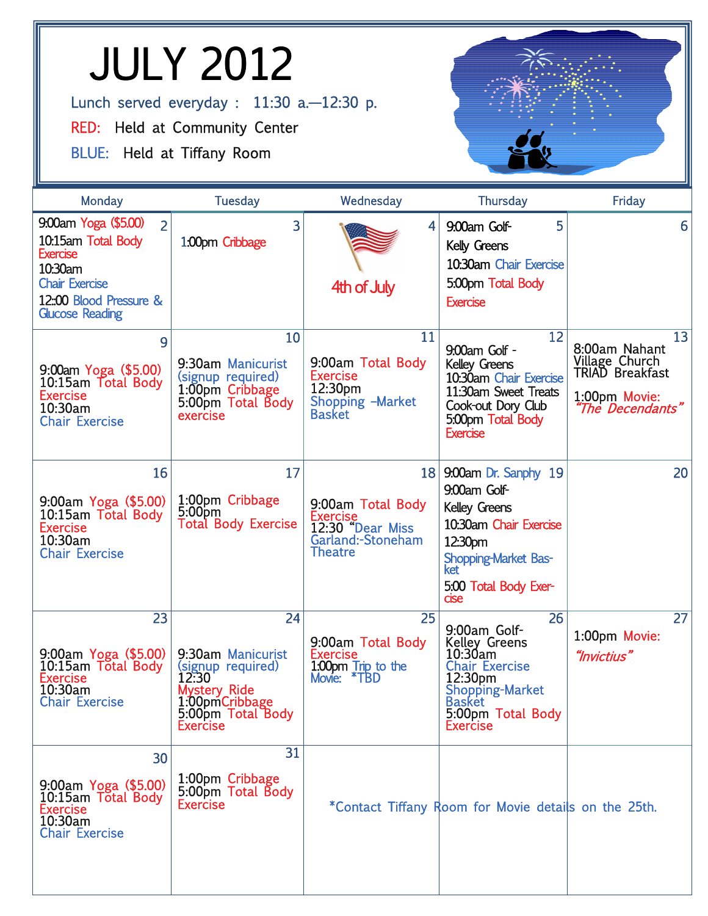# JULY 2012 Lunch served everyday : 11:30 a.-12:30 p. RED: Held at Community Center BLUE: Held at Tiffany Room

| Monday                                                                                                                                                                  | <b>Tuesday</b>                                                                                                                  | Wednesday                                                                                              | <b>Thursday</b>                                                                                                                                                   | Friday                                                                                        |
|-------------------------------------------------------------------------------------------------------------------------------------------------------------------------|---------------------------------------------------------------------------------------------------------------------------------|--------------------------------------------------------------------------------------------------------|-------------------------------------------------------------------------------------------------------------------------------------------------------------------|-----------------------------------------------------------------------------------------------|
| 9:00am Yoga (\$5.00)<br>$\overline{2}$<br>10:15am Total Body<br><b>Exercise</b><br>10:30am<br><b>Chair Exercise</b><br>12:00 Blood Pressure &<br><b>Glucose Reading</b> | 3<br>1.00pm Cribbage                                                                                                            | $\overline{\mathbf{4}}$<br>4th of July                                                                 | 5<br>9:00am Golf-<br>Kelly Greens<br>10:30am Chair Exercise<br>5:00pm Total Body<br><b>Exercise</b>                                                               | 6                                                                                             |
| 9<br>$9:00$ am Yoga (\$5.00)<br>10:15am Total Body<br><b>Exercise</b><br>10:30am<br><b>Chair Exercise</b>                                                               | 10<br>9:30am Manicurist<br>(signup required)<br>1:00pm Cribbage<br>5:00pm Total Body<br>exercise                                | 11<br>9:00am Total Body<br><b>Exercise</b><br>12:30 <sub>pm</sub><br>Shopping -Market<br><b>Basket</b> | 12<br>9:00am Golf -<br><b>Kelley Greens</b><br>10:30am Chair Exercise<br>11:30am Sweet Treats<br>Cook-out Dory Club<br>5:00pm Total Body<br><b>Exercise</b>       | 13<br>8:00am Nahant<br>Village Church<br>TRIAD Breakfast<br>1:00pm Movie:<br>'The Decendants" |
| 16<br>9:00am Yoga (\$5.00)<br>10:15am Total Body<br><b>Exercise</b><br>10:30am<br><b>Chair Exercise</b>                                                                 | 17<br>1:00pm Cribbage<br>5:00 <sub>pm</sub><br><b>Total Body Exercise</b>                                                       | <b>18</b><br>9:00am Total Body<br>Exercise<br>12:30 "Dear Miss<br>Garland:-Stoneham<br><b>Theatre</b>  | 9:00am Dr. Sanphy 19<br>9:00am Golf-<br><b>Kelley Greens</b><br>10:30am Chair Exercise<br>12:30pm<br>Shopping-Market Bas-<br>ket<br>5:00 Total Body Exer-<br>cise | 20                                                                                            |
| 23<br>9:00am Yoga (\$5.00)<br>10:15am Total Body<br><b>Exercise</b><br>10:30am<br><b>Chair Exercise</b>                                                                 | 24<br>9:30am Manicurist<br>(signup required)<br>12:30<br>Mystery Ride<br>1:00pmCribbage<br>5:00pm Total Body<br><b>Exercise</b> | 25<br>9:00am Total Body<br><b>Exercise</b><br>1.00pm Trip to the<br>Movie: *TBD                        | 26<br>9:00am Golf-<br><b>Kelley Greens</b><br>10:30am<br><b>Chair Exercise</b><br>12:30pm<br>Shopping-Market<br><b>Basket</b><br>5:00pm Total Body<br>Exercise    | 27<br>1:00pm Movie:<br>"Invictius"                                                            |
| 30<br>9:00am Yoga (\$5.00)<br>10:15am Total Body<br><b>Exercise</b><br>10:30am<br><b>Chair Exercise</b>                                                                 | 31<br>1:00pm Cribbage<br>5:00pm Total Body<br><b>Exercise</b>                                                                   |                                                                                                        | *Contact Tiffany Room for Movie details on the 25th.                                                                                                              |                                                                                               |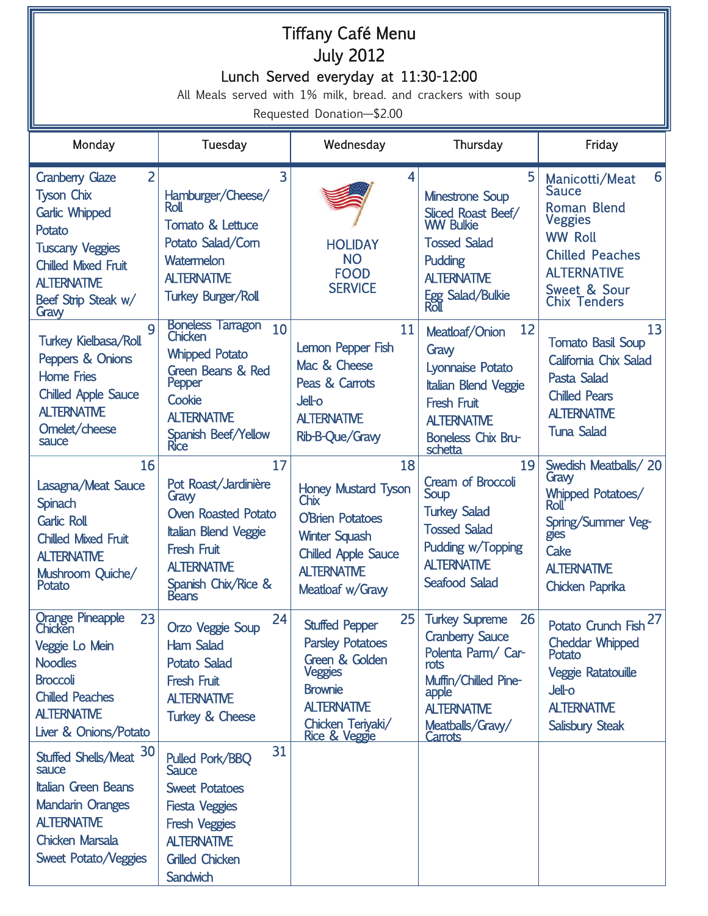# Tiffany Café Menu July 2012 Lunch Served everyday at 11:30-12:00

All Meals served with 1% milk, bread. and crackers with soup

Requested Donation—\$2.00

| Monday                                                                                                                                                                                            | Tuesday                                                                                                                                                                                   | Wednesday                                                                                                                                                                | Thursday                                                                                                                                                                  | Friday                                                                                                                                                                        |
|---------------------------------------------------------------------------------------------------------------------------------------------------------------------------------------------------|-------------------------------------------------------------------------------------------------------------------------------------------------------------------------------------------|--------------------------------------------------------------------------------------------------------------------------------------------------------------------------|---------------------------------------------------------------------------------------------------------------------------------------------------------------------------|-------------------------------------------------------------------------------------------------------------------------------------------------------------------------------|
| 2<br><b>Cranberry Glaze</b><br><b>Tyson Chix</b><br><b>Garlic Whipped</b><br>Potato<br><b>Tuscany Veggies</b><br><b>Chilled Mixed Fruit</b><br><b>ALTERNATIVE</b><br>Beef Strip Steak w/<br>Gravy | 3<br>Hamburger/Cheese/<br><b>Roll</b><br>Tomato & Lettuce<br>Potato Salad/Com<br>Watermelon<br><b>ALTERNATIVE</b><br><b>Turkey Burger/Roll</b>                                            | 4<br><b>HOLIDAY</b><br><b>NO</b><br><b>FOOD</b><br><b>SERVICE</b>                                                                                                        | 5<br><b>Minestrone Soup</b><br>Sliced Roast Beef/<br><b>WW Bulkie</b><br><b>Tossed Salad</b><br>Pudding<br><b>ALTERNATIVE</b><br>Egg Salad/Bulkie<br>Roll                 | 6<br>Manicotti/Meat<br>Sauce<br><b>Roman Blend</b><br><b>Veggies</b><br><b>WW Roll</b><br><b>Chilled Peaches</b><br><b>ALTERNATIVE</b><br>Sweet & Sour<br><b>Chix Tenders</b> |
| 9<br><b>Turkey Kielbasa/Roll</b><br>Peppers & Onions<br><b>Home Fries</b><br><b>Chilled Apple Sauce</b><br><b>ALTERNATIVE</b><br>Omelet/cheese<br>sauce                                           | <b>Boneless Tarragon</b><br>10<br><b>Chicken</b><br><b>Whipped Potato</b><br><b>Green Beans &amp; Red</b><br>Pepper<br>Cookie<br><b>ALTERNATIVE</b><br>Spanish Beef/Yellow<br><b>Rice</b> | 11<br>Lemon Pepper Fish<br>Mac & Cheese<br>Peas & Carrots<br><b>Jell-o</b><br><b>ALTERNATIVE</b><br>Rib-B-Que/Gravy                                                      | 12<br>Meatloaf/Onion<br>Graw<br>Lyonnaise Potato<br><b>Italian Blend Veggie</b><br><b>Fresh Fruit</b><br><b>ALTERNATIVE</b><br>Boneless Chix Bru-<br>schetta              | 13<br><b>Tomato Basil Soup</b><br>California Chix Salad<br>Pasta Salad<br><b>Chilled Pears</b><br><b>ALTERNATIVE</b><br><b>Tuna Salad</b>                                     |
| 16<br>Lasagna/Meat Sauce<br>Spinach<br><b>Garlic Roll</b><br><b>Chilled Mixed Fruit</b><br><b>ALTERNATIVE</b><br>Mushroom Quiche/<br>Potato                                                       | 17<br>Pot Roast/Jardinière<br>Graw<br><b>Oven Roasted Potato</b><br><b>Italian Blend Veggie</b><br><b>Fresh Fruit</b><br><b>ALTERNATIVE</b><br>Spanish Chix/Rice &<br><b>Beans</b>        | 18<br><b>Honey Mustard Tyson</b><br>Chix<br><b>O'Brien Potatoes</b><br><b>Winter Squash</b><br><b>Chilled Apple Sauce</b><br><b>ALTERNATIVE</b><br>Meatloaf w/Gravy      | 19<br><b>Cream of Broccoli</b><br>Soup<br><b>Turkey Salad</b><br><b>Tossed Salad</b><br>Pudding w/Topping<br><b>ALTERNATIVE</b><br><b>Seafood Salad</b>                   | Swedish Meatballs/20<br>Graw<br>Whipped Potatoes/<br><b>Roll</b><br>Spring/Summer Veg-<br>gles<br>Cake<br><b>ALTERNATIVE</b><br>Chicken Paprika                               |
| Orange Pineapple<br>Chicken<br>23<br>Veggie Lo Mein<br><b>Noodles</b><br><b>Broccoli</b><br><b>Chilled Peaches</b><br><b>ALTERNATIVE</b><br>Liver & Onions/Potato                                 | 24<br><b>Orzo Veggie Soup</b><br><b>Ham Salad</b><br><b>Potato Salad</b><br><b>Fresh Fruit</b><br><b>ALTERNATIVE</b><br><b>Turkey &amp; Cheese</b>                                        | 25<br><b>Stuffed Pepper</b><br><b>Parsley Potatoes</b><br>Green & Golden<br><b>Veggies</b><br><b>Brownie</b><br><b>ALTERNATIVE</b><br>Chicken Teriyaki/<br>Rice & Veggie | 26<br><b>Turkey Supreme</b><br><b>Cranberry Sauce</b><br>Polenta Parm/ Car-<br>rots<br>Muffin/Chilled Pine-<br>apple<br><b>ALTERNATIVE</b><br>Meatballs/Gravy/<br>Carrots | 27<br><b>Potato Crunch Fish</b><br><b>Cheddar Whipped</b><br>Potato<br><b>Veggie Ratatouille</b><br>Jell-o<br><b>ALTERNATIVE</b><br><b>Salisbury Steak</b>                    |
| Stuffed Shells/Meat 30<br>sauce<br><b>Italian Green Beans</b><br><b>Mandarin Oranges</b><br><b>ALTERNATIVE</b><br><b>Chicken Marsala</b><br>Sweet Potato/Veggies                                  | 31<br>Pulled Pork/BBQ<br><b>Sauce</b><br><b>Sweet Potatoes</b><br><b>Fiesta Veggies</b><br><b>Fresh Veggies</b><br><b>ALTERNATIVE</b><br><b>Grilled Chicken</b><br><b>Sandwich</b>        |                                                                                                                                                                          |                                                                                                                                                                           |                                                                                                                                                                               |